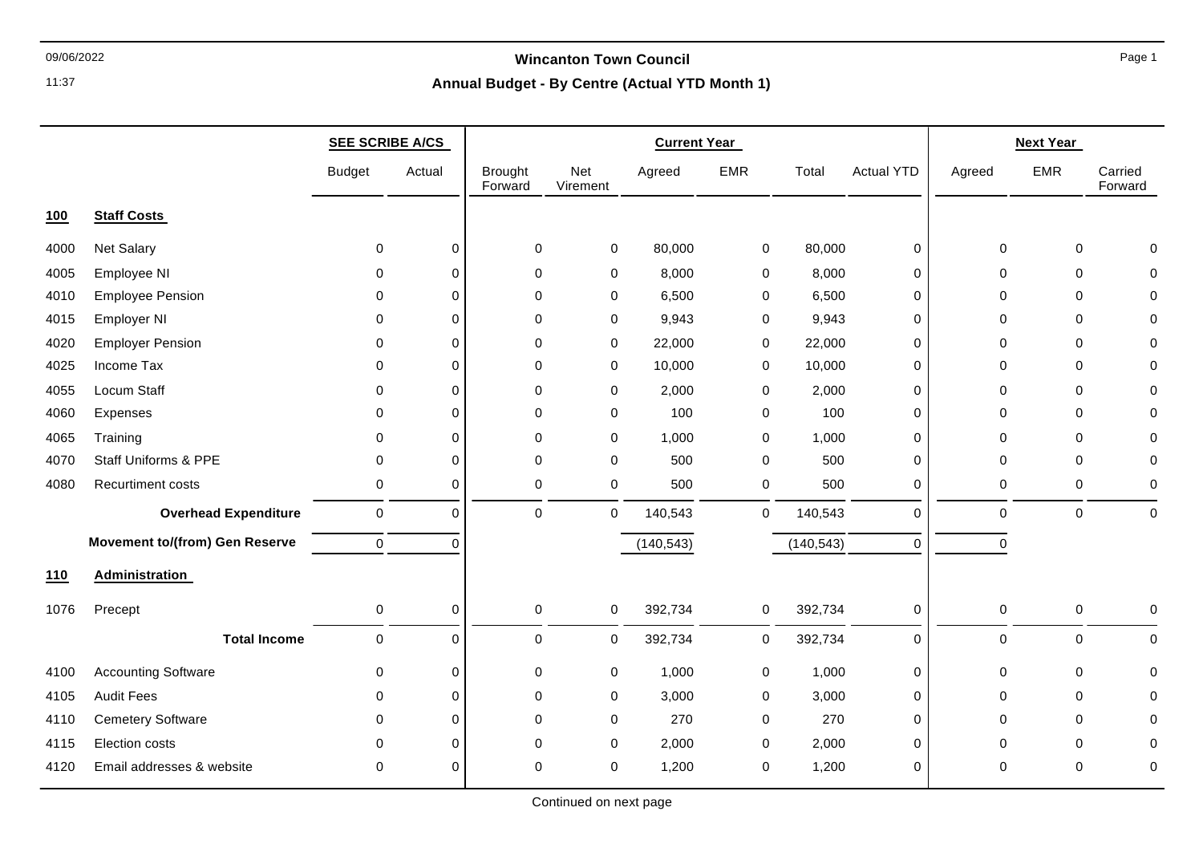# 09/06/2022 **Wincanton Town Council**

## **Annual Budget - By Centre (Actual YTD Month 1)**

|      |                                       | <b>SEE SCRIBE A/CS</b> |             | <b>Current Year</b>       |                 |            |            |            |                   | <b>Next Year</b> |             |                    |
|------|---------------------------------------|------------------------|-------------|---------------------------|-----------------|------------|------------|------------|-------------------|------------------|-------------|--------------------|
|      |                                       | <b>Budget</b>          | Actual      | <b>Brought</b><br>Forward | Net<br>Virement | Agreed     | <b>EMR</b> | Total      | <b>Actual YTD</b> | Agreed           | <b>EMR</b>  | Carried<br>Forward |
| 100  | <b>Staff Costs</b>                    |                        |             |                           |                 |            |            |            |                   |                  |             |                    |
| 4000 | <b>Net Salary</b>                     | $\mathbf 0$            | $\pmb{0}$   | 0                         | $\pmb{0}$       | 80,000     | 0          | 80,000     | $\mathbf 0$       | 0                | 0           | $\Omega$           |
| 4005 | Employee NI                           | 0                      | 0           | $\Omega$                  | 0               | 8,000      | 0          | 8,000      | 0                 | 0                | 0           | 0                  |
| 4010 | <b>Employee Pension</b>               | 0                      | $\mathbf 0$ | $\mathbf 0$               | 0               | 6,500      | 0          | 6,500      | 0                 | 0                | 0           | 0                  |
| 4015 | <b>Employer NI</b>                    | $\Omega$               | $\Omega$    | $\mathbf 0$               | 0               | 9,943      | 0          | 9,943      | 0                 | 0                | $\mathbf 0$ | 0                  |
| 4020 | <b>Employer Pension</b>               | $\Omega$               | $\Omega$    | 0                         | 0               | 22,000     | 0          | 22,000     | 0                 | 0                | 0           | 0                  |
| 4025 | Income Tax                            | 0                      | 0           | $\pmb{0}$                 | $\mathbf 0$     | 10,000     | 0          | 10,000     | 0                 | 0                | 0           | 0                  |
| 4055 | Locum Staff                           | $\Omega$               | $\Omega$    | $\mathbf 0$               | $\mathbf 0$     | 2,000      | 0          | 2,000      | 0                 | 0                | $\mathbf 0$ | 0                  |
| 4060 | Expenses                              | $\Omega$               | $\Omega$    | $\mathbf 0$               | $\mathbf 0$     | 100        | 0          | 100        | 0                 | 0                | $\mathbf 0$ | 0                  |
| 4065 | Training                              | 0                      | $\mathbf 0$ | $\mathbf 0$               | $\mathbf 0$     | 1,000      | 0          | 1,000      | 0                 | 0                | 0           | 0                  |
| 4070 | <b>Staff Uniforms &amp; PPE</b>       | $\mathbf 0$            | $\Omega$    | $\mathbf 0$               | $\mathbf 0$     | 500        | 0          | 500        | 0                 | $\mathbf 0$      | $\mathbf 0$ | 0                  |
| 4080 | Recurtiment costs                     | 0                      | 0           | 0                         | $\mathbf 0$     | 500        | 0          | 500        | 0                 | 0                | $\mathbf 0$ | 0                  |
|      | <b>Overhead Expenditure</b>           | 0                      | $\mathbf 0$ | $\mathbf 0$               | $\mathbf 0$     | 140,543    | 0          | 140,543    | $\mathbf 0$       | $\pmb{0}$        | $\pmb{0}$   | $\mathbf 0$        |
|      | <b>Movement to/(from) Gen Reserve</b> | 0                      | $\mathbf 0$ |                           |                 | (140, 543) |            | (140, 543) | $\mathbf 0$       | $\pmb{0}$        |             |                    |
| 110  | Administration                        |                        |             |                           |                 |            |            |            |                   |                  |             |                    |
| 1076 | Precept                               | 0                      | 0           | $\pmb{0}$                 | 0               | 392,734    | 0          | 392,734    | 0                 | 0                | 0           | 0                  |
|      | <b>Total Income</b>                   | $\pmb{0}$              | $\mathbf 0$ | $\pmb{0}$                 | 0               | 392,734    | 0          | 392,734    | $\mathbf 0$       | $\mathbf 0$      | $\mathbf 0$ | $\pmb{0}$          |
| 4100 | <b>Accounting Software</b>            | 0                      | 0           | $\pmb{0}$                 | $\mathbf 0$     | 1,000      | 0          | 1,000      | 0                 | 0                | 0           | 0                  |
| 4105 | <b>Audit Fees</b>                     | $\Omega$               | $\Omega$    | $\mathbf 0$               | $\mathbf 0$     | 3,000      | 0          | 3,000      | 0                 | 0                | $\mathbf 0$ | $\Omega$           |
| 4110 | <b>Cemetery Software</b>              | 0                      | $\mathbf 0$ | $\mathbf 0$               | 0               | 270        | 0          | 270        | 0                 | 0                | 0           | 0                  |
| 4115 | Election costs                        | $\Omega$               | $\Omega$    | 0                         | 0               | 2,000      | 0          | 2,000      | 0                 | 0                | $\Omega$    | 0                  |
| 4120 | Email addresses & website             | 0                      | $\Omega$    | $\Omega$                  | $\mathbf 0$     | 1,200      | 0          | 1,200      | 0                 | $\Omega$         | $\Omega$    | 0                  |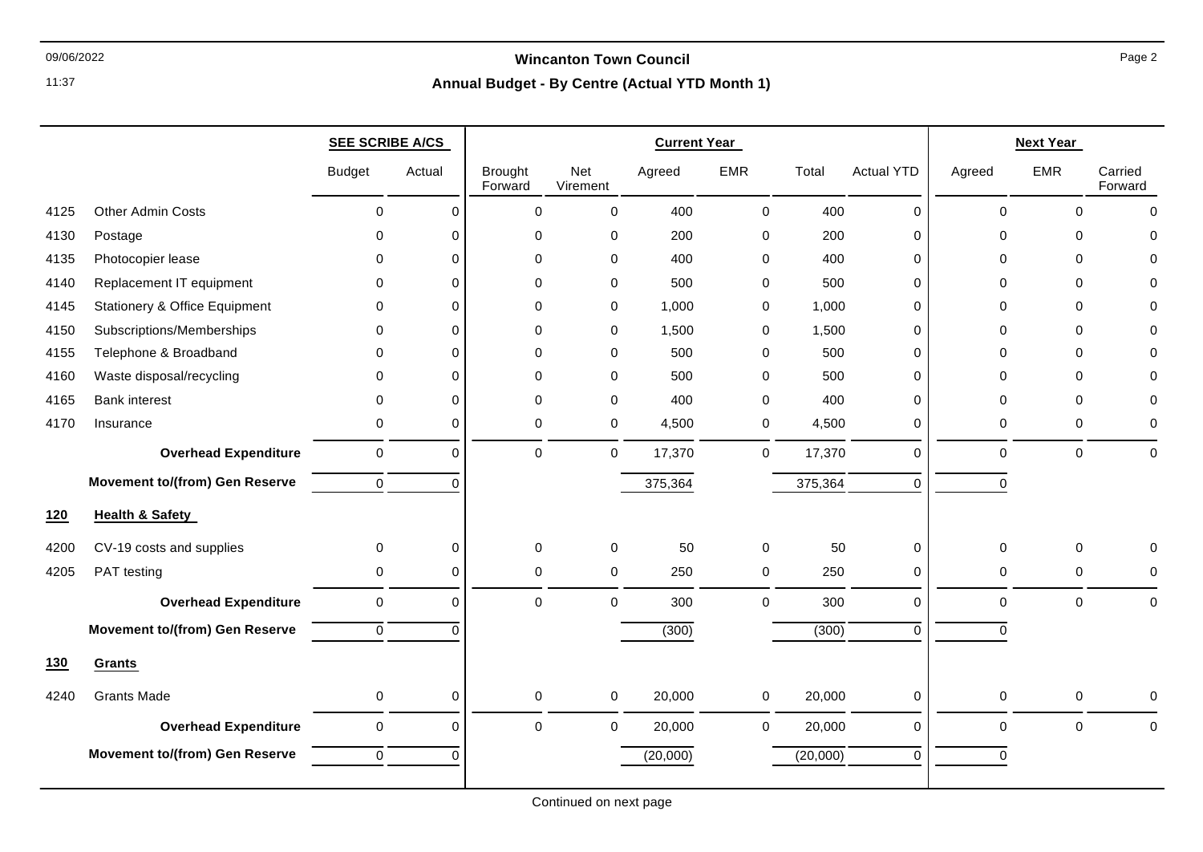### 09/06/2022 **Wincanton Town Council**

|            |                                          | <b>SEE SCRIBE A/CS</b> |             | <b>Current Year</b>       |                 |          |              | <b>Next Year</b> |                   |                     |             |                    |
|------------|------------------------------------------|------------------------|-------------|---------------------------|-----------------|----------|--------------|------------------|-------------------|---------------------|-------------|--------------------|
|            |                                          | <b>Budget</b>          | Actual      | <b>Brought</b><br>Forward | Net<br>Virement | Agreed   | <b>EMR</b>   | Total            | <b>Actual YTD</b> | Agreed              | <b>EMR</b>  | Carried<br>Forward |
| 4125       | <b>Other Admin Costs</b>                 | $\mathbf 0$            | $\mathbf 0$ | $\mathbf 0$               | $\mathbf 0$     | 400      | $\mathbf 0$  | 400              | $\mathbf 0$       | $\mathbf 0$         | $\mathbf 0$ | $\mathbf 0$        |
| 4130       | Postage                                  | $\Omega$               | $\Omega$    | $\mathbf 0$               | 0               | 200      | 0            | 200              | 0                 | $\Omega$            | $\Omega$    | $\Omega$           |
| 4135       | Photocopier lease                        | 0                      | $\Omega$    | $\mathbf 0$               | 0               | 400      | 0            | 400              | 0                 | $\Omega$            | $\mathbf 0$ | $\Omega$           |
| 4140       | Replacement IT equipment                 | $\Omega$               | $\Omega$    | $\Omega$                  | 0               | 500      | 0            | 500              | $\Omega$          | $\Omega$            | $\Omega$    | $\Omega$           |
| 4145       | <b>Stationery &amp; Office Equipment</b> | $\Omega$               | $\Omega$    | $\mathbf 0$               | 0               | 1,000    | 0            | 1,000            | 0                 | $\Omega$            | $\mathbf 0$ | $\Omega$           |
| 4150       | Subscriptions/Memberships                | 0                      | $\Omega$    | $\mathbf 0$               | 0               | 1,500    | 0            | 1,500            | $\mathbf 0$       | 0                   | $\mathbf 0$ | $\Omega$           |
| 4155       | Telephone & Broadband                    | $\Omega$               | $\mathbf 0$ | $\mathbf 0$               | 0               | 500      | 0            | 500              | 0                 | $\Omega$            | $\mathbf 0$ | $\Omega$           |
| 4160       | Waste disposal/recycling                 | 0                      | $\Omega$    | $\mathbf 0$               | 0               | 500      | 0            | 500              | $\mathbf 0$       | $\Omega$            | $\mathbf 0$ | $\Omega$           |
| 4165       | <b>Bank interest</b>                     | 0                      | $\Omega$    | $\mathbf 0$               | $\mathbf 0$     | 400      | 0            | 400              | 0                 | $\Omega$            | $\mathbf 0$ | $\Omega$           |
| 4170       | Insurance                                | 0                      | $\mathbf 0$ | 0                         | 0               | 4,500    | $\mathbf 0$  | 4,500            | 0                 | 0                   | 0           | 0                  |
|            | <b>Overhead Expenditure</b>              | $\pmb{0}$              | $\mathbf 0$ | $\mathbf 0$               | 0               | 17,370   | 0            | 17,370           | $\pmb{0}$         | $\mathbf 0$         | $\pmb{0}$   | $\mathbf 0$        |
|            | <b>Movement to/(from) Gen Reserve</b>    | $\mathbf 0$            | $\Omega$    |                           |                 | 375,364  |              | 375,364          | $\mathbf 0$       | $\Omega$            |             |                    |
| 120        | <b>Health &amp; Safety</b>               |                        |             |                           |                 |          |              |                  |                   |                     |             |                    |
| 4200       | CV-19 costs and supplies                 | 0                      | $\mathbf 0$ | $\mathbf 0$               | 0               | 50       | 0            | 50               | $\pmb{0}$         | 0                   | $\mathbf 0$ | 0                  |
| 4205       | PAT testing                              | $\mathbf 0$            | $\mathbf 0$ | $\pmb{0}$                 | 0               | 250      | 0            | 250              | 0                 | 0                   | $\pmb{0}$   | 0                  |
|            | <b>Overhead Expenditure</b>              | $\pmb{0}$              | $\mathbf 0$ | $\pmb{0}$                 | $\mathsf 0$     | 300      | $\pmb{0}$    | 300              | $\mathbf 0$       | $\pmb{0}$           | $\pmb{0}$   | $\pmb{0}$          |
|            | <b>Movement to/(from) Gen Reserve</b>    | $\mathbf 0$            | $\Omega$    |                           |                 | (300)    |              | (300)            | $\Omega$          | $\Omega$            |             |                    |
| <b>130</b> | Grants                                   |                        |             |                           |                 |          |              |                  |                   |                     |             |                    |
| 4240       | <b>Grants Made</b>                       | 0                      | 0           | 0                         | 0               | 20,000   | 0            | 20,000           | 0                 | $\mathbf 0$         | 0           | 0                  |
|            | <b>Overhead Expenditure</b>              | $\pmb{0}$              | $\mathbf 0$ | $\mathbf 0$               | $\mathsf 0$     | 20,000   | $\mathsf{O}$ | 20,000           | $\mathbf 0$       | $\mathsf{O}\xspace$ | $\pmb{0}$   | $\pmb{0}$          |
|            | <b>Movement to/(from) Gen Reserve</b>    | $\pmb{0}$              | $\Omega$    |                           |                 | (20,000) |              | (20,000)         | $\mathbf 0$       | 0                   |             |                    |
|            |                                          |                        |             |                           |                 |          |              |                  |                   |                     |             |                    |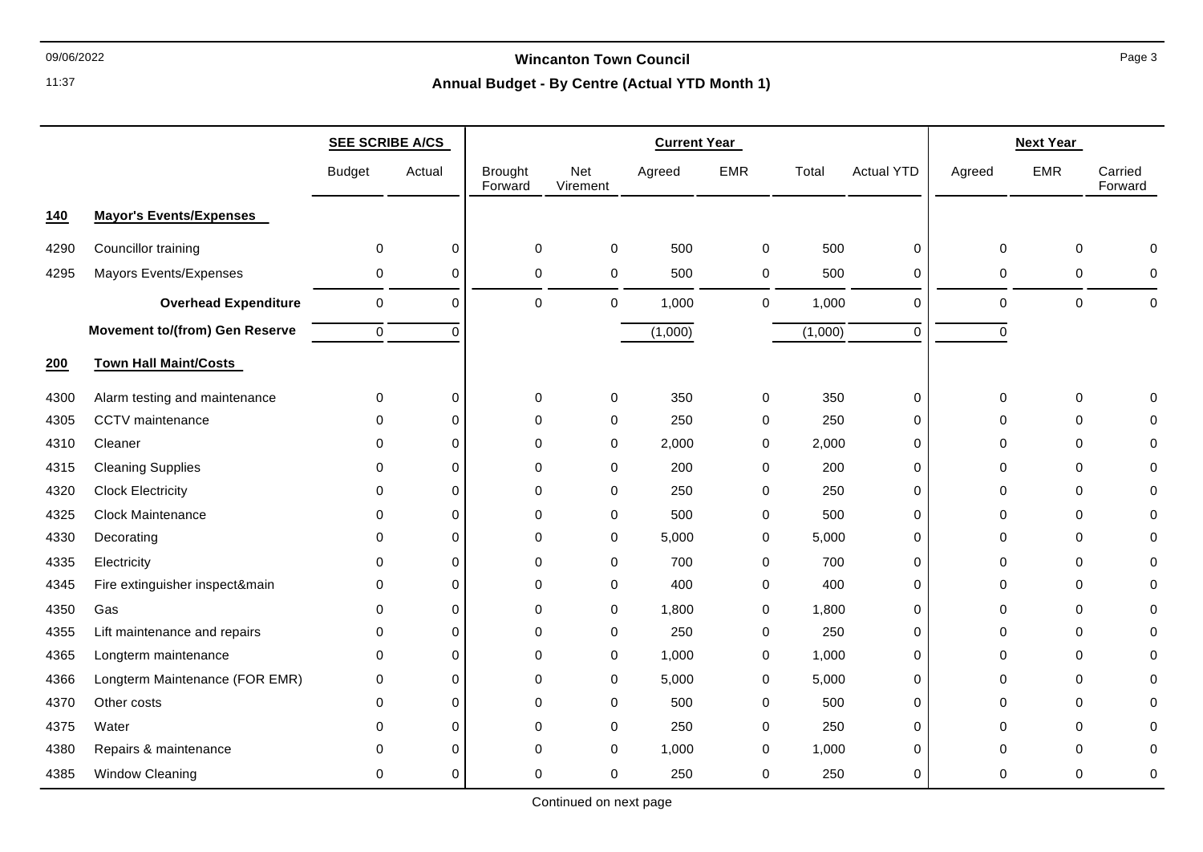### 09/06/2022 **Wincanton Town Council**

# **Annual Budget - By Centre (Actual YTD Month 1)**

|            |                                       | <b>SEE SCRIBE A/CS</b> |             | <b>Current Year</b>       |                 |         |              |         |                   | <b>Next Year</b> |             |                    |
|------------|---------------------------------------|------------------------|-------------|---------------------------|-----------------|---------|--------------|---------|-------------------|------------------|-------------|--------------------|
|            |                                       | <b>Budget</b>          | Actual      | <b>Brought</b><br>Forward | Net<br>Virement | Agreed  | <b>EMR</b>   | Total   | <b>Actual YTD</b> | Agreed           | <b>EMR</b>  | Carried<br>Forward |
| <u>140</u> | <b>Mayor's Events/Expenses</b>        |                        |             |                           |                 |         |              |         |                   |                  |             |                    |
| 4290       | Councillor training                   | $\mathbf 0$            | $\pmb{0}$   | $\pmb{0}$                 | 0               | 500     | 0            | 500     | $\pmb{0}$         | 0                | $\mathbf 0$ | $\Omega$           |
| 4295       | Mayors Events/Expenses                | 0                      | $\mathbf 0$ | 0                         | 0               | 500     | 0            | 500     | 0                 | 0                | $\mathbf 0$ | $\mathbf 0$        |
|            | <b>Overhead Expenditure</b>           | $\mathbf 0$            | $\mathbf 0$ | $\mathbf 0$               | $\mathbf 0$     | 1,000   | $\mathbf{0}$ | 1,000   | $\mathbf 0$       | 0                | $\mathbf 0$ | $\mathbf 0$        |
|            | <b>Movement to/(from) Gen Reserve</b> | $\mathbf 0$            | $\mathbf 0$ |                           |                 | (1,000) |              | (1,000) | $\mathbf 0$       | $\mathbf 0$      |             |                    |
| 200        | <b>Town Hall Maint/Costs</b>          |                        |             |                           |                 |         |              |         |                   |                  |             |                    |
| 4300       | Alarm testing and maintenance         | 0                      | 0           | 0                         | 0               | 350     | 0            | 350     | $\pmb{0}$         | 0                | 0           | $\Omega$           |
| 4305       | CCTV maintenance                      | 0                      | $\mathbf 0$ | $\mathbf 0$               | 0               | 250     | 0            | 250     | 0                 | 0                | $\Omega$    | $\Omega$           |
| 4310       | Cleaner                               | $\Omega$               | $\Omega$    | $\mathbf 0$               | 0               | 2,000   | $\mathbf 0$  | 2,000   | $\mathbf 0$       | $\Omega$         | $\Omega$    | $\Omega$           |
| 4315       | <b>Cleaning Supplies</b>              | $\mathbf 0$            | $\mathbf 0$ | $\mathbf 0$               | 0               | 200     | 0            | 200     | $\pmb{0}$         | 0                | $\mathbf 0$ | $\Omega$           |
| 4320       | <b>Clock Electricity</b>              | 0                      | $\Omega$    | 0                         | 0               | 250     | 0            | 250     | 0                 | 0                | $\Omega$    | $\Omega$           |
| 4325       | Clock Maintenance                     | $\mathbf{0}$           | $\mathbf 0$ | $\mathbf 0$               | 0               | 500     | 0            | 500     | 0                 | 0                | $\mathbf 0$ | $\mathbf 0$        |
| 4330       | Decorating                            | $\mathbf 0$            | $\Omega$    | $\mathbf 0$               | 0               | 5,000   | 0            | 5,000   | 0                 | 0                | $\mathbf 0$ | $\Omega$           |
| 4335       | Electricity                           | $\mathbf 0$            | $\Omega$    | 0                         | 0               | 700     | 0            | 700     | $\mathbf 0$       | 0                | $\Omega$    | $\Omega$           |
| 4345       | Fire extinguisher inspect&main        | 0                      | $\mathbf 0$ | $\mathbf 0$               | 0               | 400     | 0            | 400     | $\pmb{0}$         | $\Omega$         | $\Omega$    | $\Omega$           |
| 4350       | Gas                                   | $\mathbf 0$            | $\mathbf 0$ | $\mathbf 0$               | 0               | 1,800   | 0            | 1,800   | $\mathbf 0$       | $\Omega$         | 0           | $\Omega$           |
| 4355       | Lift maintenance and repairs          | 0                      | $\Omega$    | 0                         | 0               | 250     | 0            | 250     | 0                 | $\Omega$         | $\Omega$    | $\Omega$           |
| 4365       | Longterm maintenance                  | 0                      | $\mathbf 0$ | $\mathbf 0$               | 0               | 1,000   | 0            | 1,000   | 0                 | 0                | $\Omega$    | $\Omega$           |
| 4366       | Longterm Maintenance (FOR EMR)        | 0                      | $\Omega$    | 0                         | 0               | 5,000   | 0            | 5,000   | 0                 | $\Omega$         | $\Omega$    | $\Omega$           |
| 4370       | Other costs                           | $\mathbf 0$            | $\mathbf 0$ | $\mathbf 0$               | 0               | 500     | 0            | 500     | 0                 | 0                | $\mathbf 0$ | $\mathbf 0$        |
| 4375       | Water                                 | $\Omega$               | $\mathbf 0$ | $\mathbf 0$               | $\mathbf 0$     | 250     | 0            | 250     | $\mathbf 0$       | $\Omega$         | $\Omega$    | $\Omega$           |
| 4380       | Repairs & maintenance                 | $\mathbf{0}$           | $\Omega$    | $\Omega$                  | 0               | 1,000   | 0            | 1,000   | 0                 | 0                | $\Omega$    | $\Omega$           |
| 4385       | Window Cleaning                       | 0                      | $\mathbf 0$ | 0                         | 0               | 250     | 0            | 250     | 0                 | 0                | 0           | 0                  |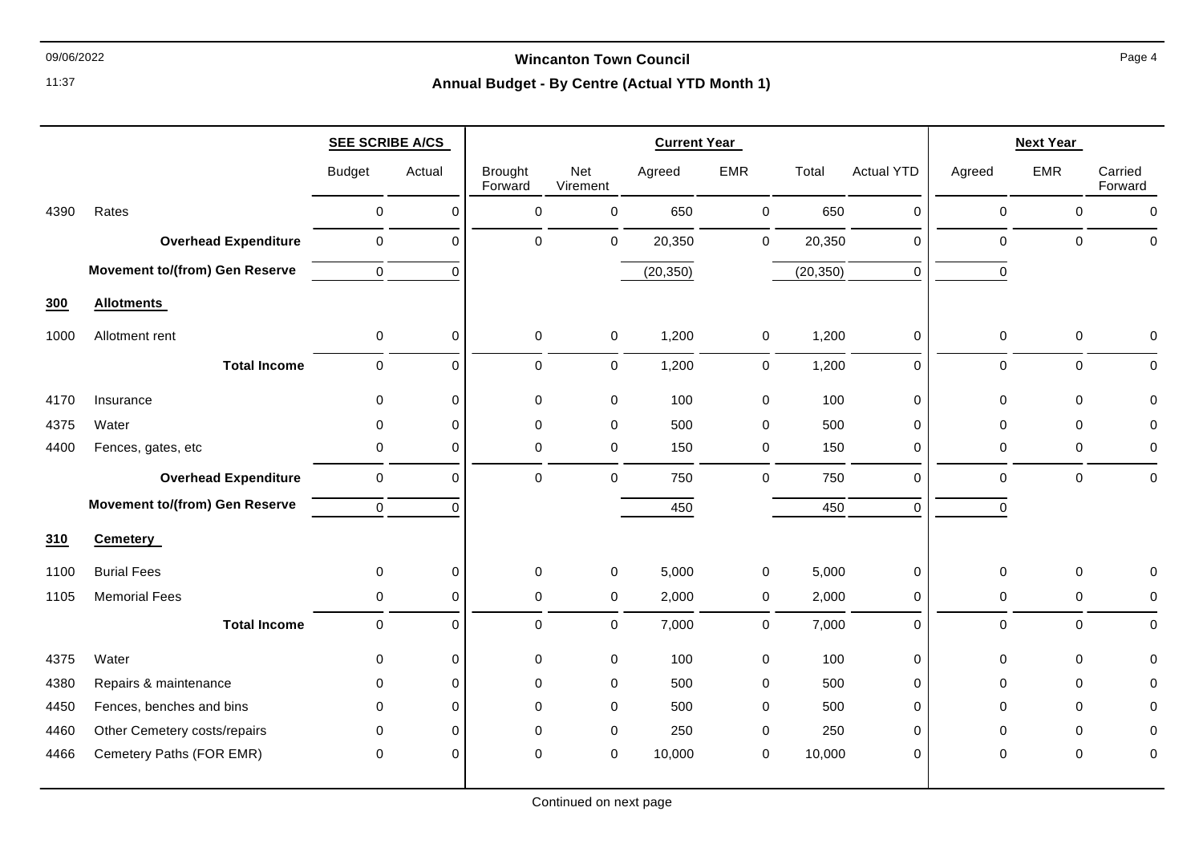### 09/06/2022 **Wincanton Town Council**

|      |                                       | <b>SEE SCRIBE A/CS</b> |                     |                           |                 | <b>Current Year</b> |              |           | <b>Next Year</b>  |             |             |                    |
|------|---------------------------------------|------------------------|---------------------|---------------------------|-----------------|---------------------|--------------|-----------|-------------------|-------------|-------------|--------------------|
|      |                                       | <b>Budget</b>          | Actual              | <b>Brought</b><br>Forward | Net<br>Virement | Agreed              | <b>EMR</b>   | Total     | <b>Actual YTD</b> | Agreed      | <b>EMR</b>  | Carried<br>Forward |
| 4390 | Rates                                 | $\mathbf 0$            | $\mathbf 0$         | 0                         | $\pmb{0}$       | 650                 | $\mathbf 0$  | 650       | $\mathbf 0$       | $\mathbf 0$ | $\pmb{0}$   | $\mathbf 0$        |
|      | <b>Overhead Expenditure</b>           | $\mathsf 0$            | $\mathbf 0$         | 0                         | 0               | 20,350              | $\mathsf{O}$ | 20,350    | $\mathbf 0$       | $\pmb{0}$   | $\mathbf 0$ | $\mathbf 0$        |
|      | <b>Movement to/(from) Gen Reserve</b> | $\mathbf 0$            | $\Omega$            |                           |                 | (20, 350)           |              | (20, 350) | $\overline{0}$    | $\mathbf 0$ |             |                    |
| 300  | <b>Allotments</b>                     |                        |                     |                           |                 |                     |              |           |                   |             |             |                    |
| 1000 | Allotment rent                        | $\mathbf 0$            | $\mathbf 0$         | $\mathbf 0$               | 0               | 1,200               | $\mathbf 0$  | 1,200     | $\mathbf 0$       | 0           | 0           | $\mathbf 0$        |
|      | <b>Total Income</b>                   | $\mathbf 0$            | $\mathbf 0$         | 0                         | $\overline{0}$  | 1,200               | $\mathbf 0$  | 1,200     | $\mathbf 0$       | $\mathbf 0$ | $\mathbf 0$ | $\Omega$           |
| 4170 | Insurance                             | 0                      | $\mathbf 0$         | $\mathbf 0$               | 0               | 100                 | 0            | 100       | $\mathbf 0$       | $\mathbf 0$ | $\Omega$    | $\mathbf 0$        |
| 4375 | Water                                 | $\mathbf 0$            | $\mathbf 0$         | 0                         | 0               | 500                 | $\mathbf 0$  | 500       | $\mathbf 0$       | $\pmb{0}$   | $\mathbf 0$ | $\mathbf 0$        |
| 4400 | Fences, gates, etc                    | 0                      | $\mathbf 0$         | 0                         | 0               | 150                 | $\mathbf 0$  | 150       | $\mathbf 0$       | $\mathbf 0$ | $\mathbf 0$ | 0                  |
|      | <b>Overhead Expenditure</b>           | $\mathbf 0$            | $\mathbf 0$         | 0                         | 0               | 750                 | $\mathbf 0$  | 750       | $\mathbf 0$       | $\Omega$    | $\mathbf 0$ | $\mathbf 0$        |
|      | <b>Movement to/(from) Gen Reserve</b> | $\mathbf 0$            | $\Omega$            |                           |                 | 450                 |              | 450       | $\Omega$          | $\Omega$    |             |                    |
| 310  | <b>Cemetery</b>                       |                        |                     |                           |                 |                     |              |           |                   |             |             |                    |
| 1100 | <b>Burial Fees</b>                    | $\mathbf 0$            | $\mathsf{O}\xspace$ | $\mathbf 0$               | 0               | 5,000               | $\pmb{0}$    | 5,000     | $\boldsymbol{0}$  | 0           | 0           | 0                  |
| 1105 | <b>Memorial Fees</b>                  | 0                      | $\mathbf 0$         | 0                         | 0               | 2,000               | 0            | 2,000     | 0                 | 0           | $\mathbf 0$ | 0                  |
|      | <b>Total Income</b>                   | $\mathbf 0$            | $\mathbf 0$         | 0                         | 0               | 7,000               | $\mathbf 0$  | 7,000     | $\mathbf 0$       | $\mathbf 0$ | $\mathbf 0$ | $\mathbf 0$        |
| 4375 | Water                                 | $\mathbf 0$            | $\mathbf 0$         | $\mathbf 0$               | 0               | 100                 | 0            | 100       | $\mathbf 0$       | $\mathbf 0$ | $\mathbf 0$ | $\Omega$           |
| 4380 | Repairs & maintenance                 | $\mathbf 0$            | $\mathbf 0$         | $\mathbf 0$               | 0               | 500                 | 0            | 500       | $\mathbf 0$       | $\mathbf 0$ | $\mathbf 0$ | 0                  |
| 4450 | Fences, benches and bins              | $\Omega$               | $\Omega$            | 0                         | 0               | 500                 | 0            | 500       | $\mathbf 0$       | $\Omega$    | $\Omega$    | $\Omega$           |
| 4460 | Other Cemetery costs/repairs          | $\mathbf 0$            | $\mathbf 0$         | 0                         | 0               | 250                 | 0            | 250       | $\mathbf 0$       | $\Omega$    | $\mathbf 0$ | 0                  |
| 4466 | Cemetery Paths (FOR EMR)              | $\mathbf 0$            | $\mathbf 0$         | 0                         | 0               | 10,000              | 0            | 10,000    | $\mathbf 0$       | 0           | $\mathbf 0$ | 0                  |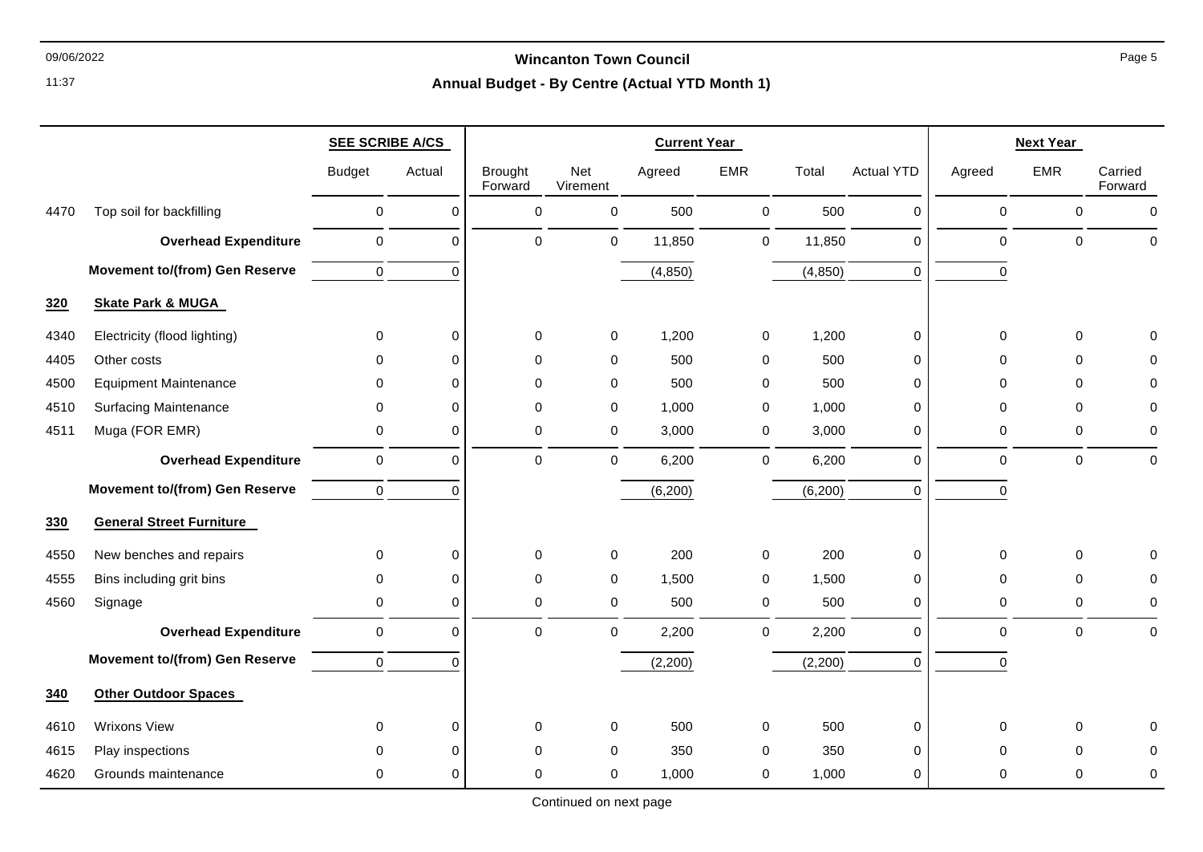### 09/06/2022 **Wincanton Town Council**

# **Annual Budget - By Centre (Actual YTD Month 1)**

|      |                                       | <b>SEE SCRIBE A/CS</b> |             |                           |                 | <b>Current Year</b> |             |          |                   |             | <b>Next Year</b> |                    |
|------|---------------------------------------|------------------------|-------------|---------------------------|-----------------|---------------------|-------------|----------|-------------------|-------------|------------------|--------------------|
|      |                                       | <b>Budget</b>          | Actual      | <b>Brought</b><br>Forward | Net<br>Virement | Agreed              | <b>EMR</b>  | Total    | <b>Actual YTD</b> | Agreed      | <b>EMR</b>       | Carried<br>Forward |
| 4470 | Top soil for backfilling              | 0                      | $\Omega$    | 0                         | $\mathsf 0$     | 500                 | $\mathbf 0$ | 500      | 0                 | $\pmb{0}$   | $\mathbf 0$      | $\pmb{0}$          |
|      | <b>Overhead Expenditure</b>           | $\pmb{0}$              | $\Omega$    | $\Omega$                  | $\mathbf 0$     | 11,850              | $\mathbf 0$ | 11,850   | 0                 | $\pmb{0}$   | $\mathbf 0$      | $\mathbf 0$        |
|      | <b>Movement to/(from) Gen Reserve</b> | $\mathbf 0$            | $\Omega$    |                           |                 | (4, 850)            |             | (4, 850) | 0                 | $\Omega$    |                  |                    |
| 320  | <b>Skate Park &amp; MUGA</b>          |                        |             |                           |                 |                     |             |          |                   |             |                  |                    |
| 4340 | Electricity (flood lighting)          | 0                      | $\Omega$    | 0                         | $\mathbf 0$     | 1,200               | $\mathbf 0$ | 1,200    | 0                 | $\mathbf 0$ | $\pmb{0}$        | 0                  |
| 4405 | Other costs                           | $\Omega$               | $\Omega$    | $\Omega$                  | $\mathbf 0$     | 500                 | $\mathbf 0$ | 500      | 0                 | $\Omega$    | $\Omega$         | $\Omega$           |
| 4500 | <b>Equipment Maintenance</b>          | $\Omega$               | $\Omega$    | $\Omega$                  | $\mathbf 0$     | 500                 | $\mathbf 0$ | 500      | 0                 | $\Omega$    | $\Omega$         | $\Omega$           |
| 4510 | <b>Surfacing Maintenance</b>          | 0                      | $\Omega$    | $\mathbf 0$               | $\mathbf 0$     | 1,000               | $\mathbf 0$ | 1,000    | 0                 | $\mathbf 0$ | $\mathbf 0$      | 0                  |
| 4511 | Muga (FOR EMR)                        | 0                      | $\Omega$    | $\Omega$                  | $\mathbf 0$     | 3,000               | 0           | 3,000    | 0                 | 0           | $\mathbf 0$      | 0                  |
|      | <b>Overhead Expenditure</b>           | $\pmb{0}$              | $\Omega$    | $\mathbf 0$               | $\mathsf 0$     | 6,200               | $\mathbf 0$ | 6,200    | 0                 | $\pmb{0}$   | $\pmb{0}$        | $\pmb{0}$          |
|      | <b>Movement to/(from) Gen Reserve</b> | $\mathbf 0$            | $\Omega$    |                           |                 | (6,200)             |             | (6, 200) | 0                 | $\mathbf 0$ |                  |                    |
| 330  | <b>General Street Furniture</b>       |                        |             |                           |                 |                     |             |          |                   |             |                  |                    |
| 4550 | New benches and repairs               | 0                      | $\Omega$    | $\mathbf 0$               | $\mathbf 0$     | 200                 | $\mathbf 0$ | 200      | 0                 | $\mathbf 0$ | $\mathbf 0$      | 0                  |
| 4555 | Bins including grit bins              | 0                      | $\Omega$    | 0                         | 0               | 1,500               | $\mathbf 0$ | 1,500    | 0                 | $\mathbf 0$ | $\mathbf 0$      | 0                  |
| 4560 | Signage                               | 0                      | $\Omega$    | $\Omega$                  | 0               | 500                 | $\mathbf 0$ | 500      | 0                 | $\pmb{0}$   | $\mathbf 0$      | 0                  |
|      | <b>Overhead Expenditure</b>           | $\pmb{0}$              | $\Omega$    | $\Omega$                  | $\mathbf 0$     | 2,200               | $\mathbf 0$ | 2,200    | 0                 | $\pmb{0}$   | $\mathbf 0$      | $\pmb{0}$          |
|      | <b>Movement to/(from) Gen Reserve</b> | $\mathbf 0$            | $\Omega$    |                           |                 | (2,200)             |             | (2,200)  | 0                 | $\mathbf 0$ |                  |                    |
| 340  | <b>Other Outdoor Spaces</b>           |                        |             |                           |                 |                     |             |          |                   |             |                  |                    |
| 4610 | <b>Wrixons View</b>                   | 0                      | $\mathbf 0$ | $\mathbf 0$               | $\mathbf 0$     | 500                 | 0           | 500      | 0                 | $\mathbf 0$ | $\mathbf 0$      | $\Omega$           |
| 4615 | Play inspections                      | $\Omega$               | $\Omega$    | $\Omega$                  | $\mathbf 0$     | 350                 | 0           | 350      | 0                 | 0           | $\Omega$         | 0                  |
| 4620 | Grounds maintenance                   | 0                      | $\mathbf 0$ | 0                         | 0               | 1,000               | 0           | 1,000    | 0                 | $\mathbf 0$ | 0                | 0                  |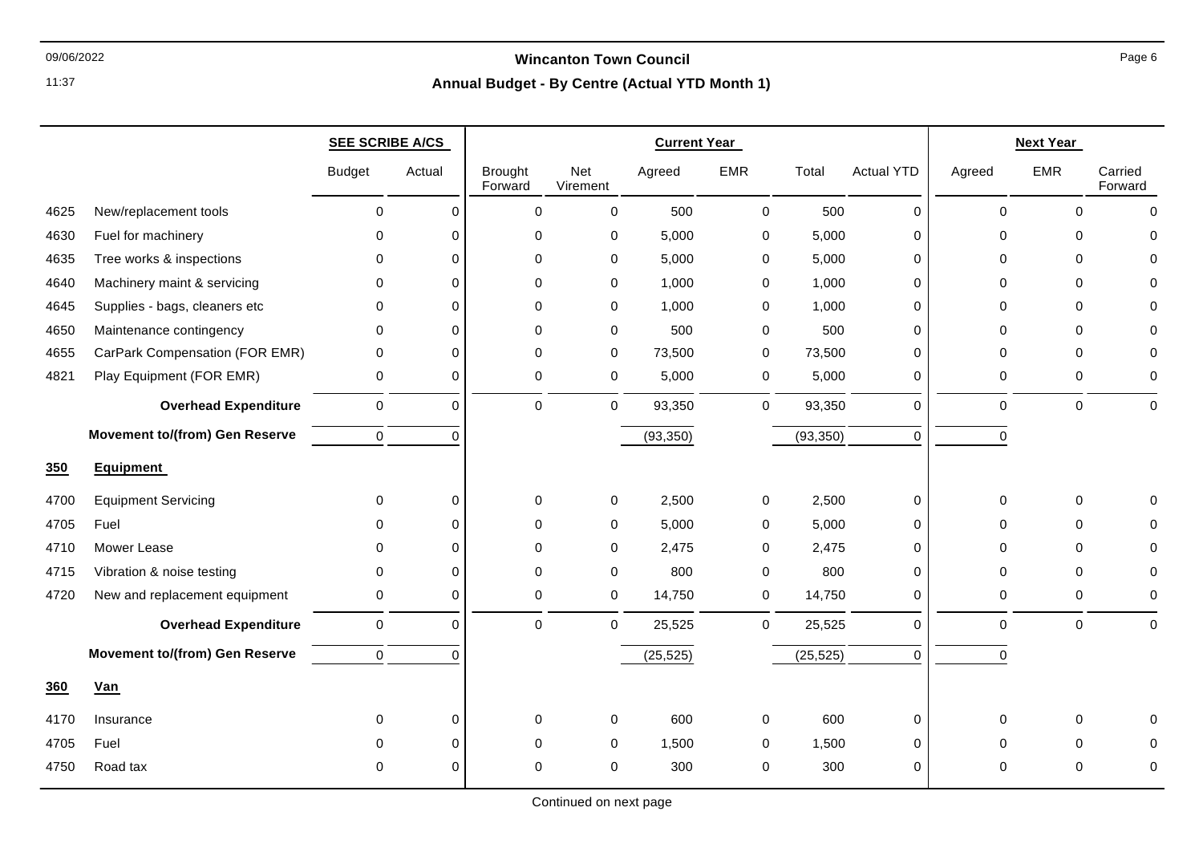### 09/06/2022 **Wincanton Town Council**

# **Annual Budget - By Centre (Actual YTD Month 1)**

|            |                                       | <b>SEE SCRIBE A/CS</b> |             | <b>Current Year</b>       |                 |           |            |           |                   | <b>Next Year</b> |              |                    |
|------------|---------------------------------------|------------------------|-------------|---------------------------|-----------------|-----------|------------|-----------|-------------------|------------------|--------------|--------------------|
|            |                                       | <b>Budget</b>          | Actual      | <b>Brought</b><br>Forward | Net<br>Virement | Agreed    | <b>EMR</b> | Total     | <b>Actual YTD</b> | Agreed           | EMR          | Carried<br>Forward |
| 4625       | New/replacement tools                 | $\mathbf 0$            | $\mathbf 0$ | 0                         | 0               | 500       | 0          | 500       | $\pmb{0}$         | 0                | $\mathbf 0$  | $\Omega$           |
| 4630       | Fuel for machinery                    | $\Omega$               | 0           | 0                         | 0               | 5,000     | 0          | 5,000     | 0                 | $\Omega$         | $\Omega$     | $\Omega$           |
| 4635       | Tree works & inspections              | 0                      | 0           | 0                         | 0               | 5,000     | 0          | 5,000     | 0                 | 0                | $\mathbf 0$  | $\Omega$           |
| 4640       | Machinery maint & servicing           | $\mathbf 0$            | 0           | $\mathbf 0$               | $\mathbf 0$     | 1,000     | 0          | 1,000     | 0                 | $\Omega$         | $\Omega$     | $\Omega$           |
| 4645       | Supplies - bags, cleaners etc         | $\mathbf 0$            | 0           | 0                         | 0               | 1,000     | 0          | 1,000     | 0                 | $\Omega$         | $\Omega$     | $\Omega$           |
| 4650       | Maintenance contingency               | 0                      | 0           | 0                         | 0               | 500       | 0          | 500       | 0                 | 0                | $\mathbf 0$  | $\Omega$           |
| 4655       | CarPark Compensation (FOR EMR)        | 0                      | 0           | 0                         | 0               | 73,500    | 0          | 73,500    | 0                 | $\Omega$         | $\Omega$     | $\Omega$           |
| 4821       | Play Equipment (FOR EMR)              | $\mathbf 0$            | 0           | $\mathbf 0$               | 0               | 5,000     | 0          | 5,000     | 0                 | 0                | 0            | $\mathbf 0$        |
|            | <b>Overhead Expenditure</b>           | $\mathbf 0$            | $\mathbf 0$ | 0                         | 0               | 93,350    | 0          | 93,350    | 0                 | 0                | $\mathbf 0$  | $\mathbf{0}$       |
|            | <b>Movement to/(from) Gen Reserve</b> | $\mathbf 0$            | $\Omega$    |                           |                 | (93, 350) |            | (93, 350) | $\Omega$          | 0                |              |                    |
| <b>350</b> | <b>Equipment</b>                      |                        |             |                           |                 |           |            |           |                   |                  |              |                    |
| 4700       | <b>Equipment Servicing</b>            | $\mathbf 0$            | 0           | 0                         | 0               | 2,500     | 0          | 2,500     | 0                 | 0                | $\mathbf 0$  | $\Omega$           |
| 4705       | Fuel                                  | $\Omega$               | $\Omega$    | $\mathbf 0$               | 0               | 5,000     | 0          | 5,000     | 0                 | $\Omega$         | $\mathbf 0$  | $\Omega$           |
| 4710       | Mower Lease                           | $\mathbf 0$            | 0           | 0                         | 0               | 2,475     | 0          | 2,475     | 0                 | $\Omega$         | $\mathbf 0$  | $\Omega$           |
| 4715       | Vibration & noise testing             | $\mathbf 0$            | $\Omega$    | $\mathbf 0$               | 0               | 800       | 0          | 800       | $\mathbf 0$       | $\Omega$         | $\Omega$     | $\Omega$           |
| 4720       | New and replacement equipment         | 0                      | $\Omega$    | 0                         | $\mathbf 0$     | 14,750    | 0          | 14,750    | 0                 | 0                | 0            | $\mathbf 0$        |
|            | <b>Overhead Expenditure</b>           | $\mathbf 0$            | 0           | 0                         | 0               | 25,525    | 0          | 25,525    | $\Omega$          | $\Omega$         | $\mathbf{0}$ | $\mathbf 0$        |
|            | <b>Movement to/(from) Gen Reserve</b> | $\mathbf 0$            | $\Omega$    |                           |                 | (25, 525) |            | (25, 525) | $\mathbf 0$       | 0                |              |                    |
| 360        | Van                                   |                        |             |                           |                 |           |            |           |                   |                  |              |                    |
| 4170       | Insurance                             | $\mathbf 0$            | 0           | 0                         | 0               | 600       | 0          | 600       | 0                 | 0                | 0            | $\Omega$           |
| 4705       | Fuel                                  | $\mathbf{0}$           | 0           | 0                         | $\mathbf 0$     | 1,500     | 0          | 1,500     | 0                 | $\Omega$         | $\mathbf 0$  | $\Omega$           |
| 4750       | Road tax                              | $\Omega$               | 0           | 0                         | $\Omega$        | 300       | 0          | 300       | 0                 | $\Omega$         | $\Omega$     | $\Omega$           |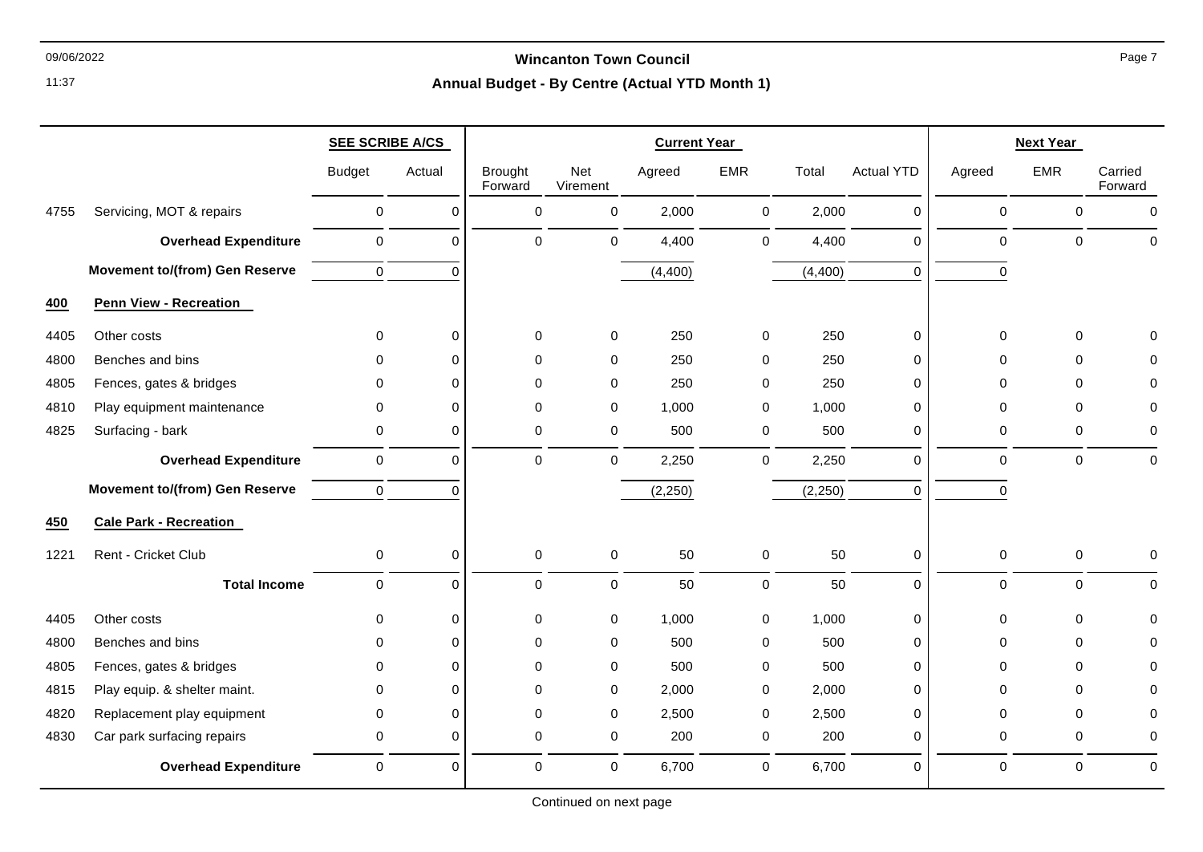### 09/06/2022 **Wincanton Town Council**

|      |                                       | <b>SEE SCRIBE A/CS</b> |             |                           |                 | <b>Current Year</b> |             |         |                   |             | <b>Next Year</b> |                    |
|------|---------------------------------------|------------------------|-------------|---------------------------|-----------------|---------------------|-------------|---------|-------------------|-------------|------------------|--------------------|
|      |                                       | <b>Budget</b>          | Actual      | <b>Brought</b><br>Forward | Net<br>Virement | Agreed              | <b>EMR</b>  | Total   | <b>Actual YTD</b> | Agreed      | <b>EMR</b>       | Carried<br>Forward |
| 4755 | Servicing, MOT & repairs              | $\mathsf 0$            | 0           | 0                         | 0               | 2,000               | 0           | 2,000   | 0                 | 0           | $\mathbf 0$      | $\mathbf 0$        |
|      | <b>Overhead Expenditure</b>           | $\mathbf 0$            | $\mathbf 0$ | 0                         | 0               | 4,400               | $\mathbf 0$ | 4,400   | $\mathbf 0$       | $\mathbf 0$ | $\Omega$         | $\mathbf 0$        |
|      | <b>Movement to/(from) Gen Reserve</b> | $\mathbf 0$            | $\Omega$    |                           |                 | (4,400)             |             | (4,400) | $\Omega$          | $\Omega$    |                  |                    |
| 400  | <b>Penn View - Recreation</b>         |                        |             |                           |                 |                     |             |         |                   |             |                  |                    |
| 4405 | Other costs                           | 0                      | $\pmb{0}$   | 0                         | 0               | 250                 | 0           | 250     | 0                 | 0           | $\Omega$         | $\mathbf 0$        |
| 4800 | Benches and bins                      | 0                      | $\Omega$    | $\Omega$                  | $\Omega$        | 250                 | $\Omega$    | 250     | $\Omega$          | $\Omega$    | $\Omega$         | $\Omega$           |
| 4805 | Fences, gates & bridges               | $\mathbf{0}$           | $\Omega$    | $\Omega$                  | $\Omega$        | 250                 | $\mathbf 0$ | 250     | $\Omega$          | $\Omega$    | $\Omega$         | $\Omega$           |
| 4810 | Play equipment maintenance            | $\mathbf 0$            | $\mathbf 0$ | 0                         | $\mathbf 0$     | 1,000               | $\mathbf 0$ | 1,000   | $\mathbf 0$       | $\Omega$    | $\Omega$         | 0                  |
| 4825 | Surfacing - bark                      | 0                      | $\mathbf 0$ | 0                         | 0               | 500                 | 0           | 500     | 0                 | 0           | 0                | 0                  |
|      | <b>Overhead Expenditure</b>           | $\mathbf 0$            | $\mathbf 0$ | $\mathbf 0$               | 0               | 2,250               | $\mathbf 0$ | 2,250   | $\mathbf 0$       | $\mathbf 0$ | $\mathbf 0$      | $\pmb{0}$          |
|      | <b>Movement to/(from) Gen Reserve</b> | $\mathbf 0$            | $\Omega$    |                           |                 | (2, 250)            |             | (2,250) | $\Omega$          | $\mathbf 0$ |                  |                    |
| 450  | <b>Cale Park - Recreation</b>         |                        |             |                           |                 |                     |             |         |                   |             |                  |                    |
| 1221 | Rent - Cricket Club                   | $\mathbf 0$            | 0           | 0                         | 0               | 50                  | 0           | 50      | 0                 | 0           | $\mathbf 0$      | $\mathbf 0$        |
|      | <b>Total Income</b>                   | $\mathbf 0$            | $\mathbf 0$ | $\mathbf 0$               | 0               | 50                  | $\pmb{0}$   | 50      | $\mathbf 0$       | $\mathbf 0$ | $\mathbf 0$      | $\mathbf 0$        |
| 4405 | Other costs                           | $\Omega$               | $\mathbf 0$ | 0                         | 0               | 1,000               | $\mathbf 0$ | 1,000   | $\mathbf 0$       | $\Omega$    | $\Omega$         | $\Omega$           |
| 4800 | Benches and bins                      | $\Omega$               | $\Omega$    | $\Omega$                  | $\mathbf 0$     | 500                 | $\mathbf 0$ | 500     | $\mathbf 0$       | $\Omega$    | $\Omega$         | $\Omega$           |
| 4805 | Fences, gates & bridges               | $\mathbf 0$            | $\mathbf 0$ | $\mathbf 0$               | 0               | 500                 | 0           | 500     | $\mathbf 0$       | 0           | $\Omega$         | 0                  |
| 4815 | Play equip. & shelter maint.          | $\Omega$               | $\Omega$    | $\Omega$                  | 0               | 2,000               | 0           | 2,000   | $\Omega$          | $\Omega$    | $\Omega$         | $\Omega$           |
| 4820 | Replacement play equipment            | $\mathbf 0$            | $\Omega$    | $\Omega$                  | 0               | 2,500               | 0           | 2,500   | $\Omega$          | $\Omega$    | $\Omega$         | $\Omega$           |
| 4830 | Car park surfacing repairs            | $\mathbf 0$            | $\mathbf 0$ | $\mathbf 0$               | 0               | 200                 | 0           | 200     | 0                 | $\pmb{0}$   | $\mathbf 0$      | 0                  |
|      | <b>Overhead Expenditure</b>           | $\mathbf 0$            | $\mathbf 0$ | $\Omega$                  | $\mathbf 0$     | 6,700               | $\mathbf 0$ | 6,700   | $\Omega$          | $\mathbf 0$ | $\Omega$         | $\mathbf 0$        |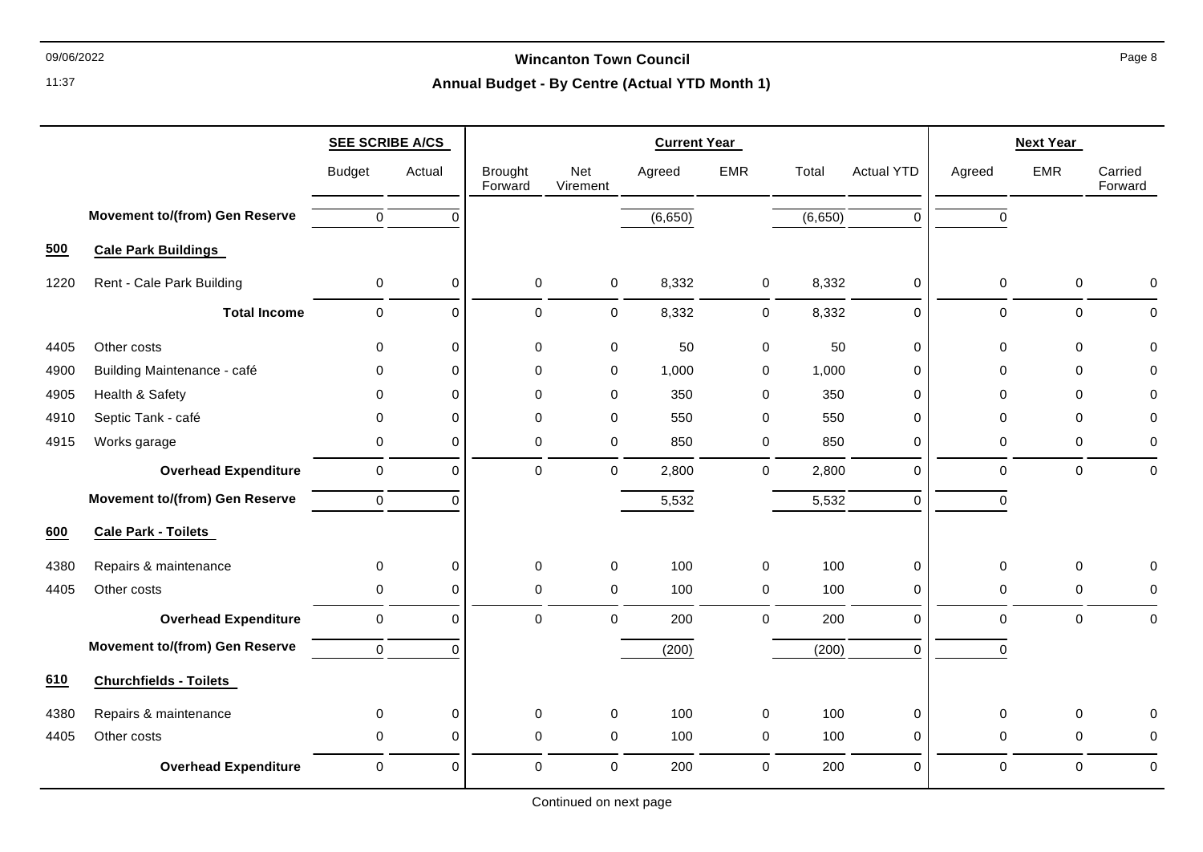# 09/06/2022 **Wincanton Town Council**

|      |                                       | <b>SEE SCRIBE A/CS</b> |             |                           |                 | <b>Current Year</b> |             |         |                   | <b>Next Year</b> |              |                    |  |
|------|---------------------------------------|------------------------|-------------|---------------------------|-----------------|---------------------|-------------|---------|-------------------|------------------|--------------|--------------------|--|
|      |                                       | <b>Budget</b>          | Actual      | <b>Brought</b><br>Forward | Net<br>Virement | Agreed              | <b>EMR</b>  | Total   | <b>Actual YTD</b> | Agreed           | <b>EMR</b>   | Carried<br>Forward |  |
|      | <b>Movement to/(from) Gen Reserve</b> | $\mathbf 0$            | $\Omega$    |                           |                 | (6,650)             |             | (6,650) | $\Omega$          | $\Omega$         |              |                    |  |
| 500  | <b>Cale Park Buildings</b>            |                        |             |                           |                 |                     |             |         |                   |                  |              |                    |  |
| 1220 | Rent - Cale Park Building             | $\pmb{0}$              | 0           | $\mathbf 0$               | 0               | 8,332               | 0           | 8,332   | 0                 | 0                | $\mathbf 0$  | $\mathbf 0$        |  |
|      | <b>Total Income</b>                   | $\mathbf 0$            | 0           | 0                         | 0               | 8,332               | 0           | 8,332   | $\mathbf 0$       | $\mathbf 0$      | $\mathbf 0$  | $\mathbf 0$        |  |
| 4405 | Other costs                           | $\mathbf 0$            | $\mathbf 0$ | $\mathbf 0$               | 0               | 50                  | 0           | 50      | $\mathbf 0$       | $\Omega$         | $\mathbf{0}$ | $\Omega$           |  |
| 4900 | Building Maintenance - café           | 0                      | $\mathbf 0$ | 0                         | 0               | 1,000               | 0           | 1,000   | $\pmb{0}$         | 0                | $\mathbf 0$  | 0                  |  |
| 4905 | Health & Safety                       | $\mathbf 0$            | 0           | 0                         | 0               | 350                 | 0           | 350     | $\pmb{0}$         | 0                | $\Omega$     | 0                  |  |
| 4910 | Septic Tank - café                    | $\mathbf 0$            | 0           | 0                         | 0               | 550                 | $\mathbf 0$ | 550     | $\Omega$          | 0                | $\Omega$     | 0                  |  |
| 4915 | Works garage                          | $\pmb{0}$              | $\mathbf 0$ | 0                         | 0               | 850                 | 0           | 850     | $\pmb{0}$         | 0                | $\Omega$     | 0                  |  |
|      | <b>Overhead Expenditure</b>           | $\pmb{0}$              | 0           | 0                         | 0               | 2,800               | $\mathbf 0$ | 2,800   | $\mathbf 0$       | $\mathbf 0$      | $\mathbf{0}$ | $\mathbf 0$        |  |
|      | <b>Movement to/(from) Gen Reserve</b> | $\pmb{0}$              | $\Omega$    |                           |                 | 5,532               |             | 5,532   | $\Omega$          | $\Omega$         |              |                    |  |
| 600  | <b>Cale Park - Toilets</b>            |                        |             |                           |                 |                     |             |         |                   |                  |              |                    |  |
| 4380 | Repairs & maintenance                 | $\pmb{0}$              | 0           | 0                         | 0               | 100                 | 0           | 100     | $\pmb{0}$         | 0                | $\mathbf 0$  | 0                  |  |
| 4405 | Other costs                           | $\pmb{0}$              | 0           | 0                         | 0               | 100                 | 0           | 100     | $\mathbf 0$       | $\pmb{0}$        | $\mathbf{0}$ | 0                  |  |
|      | <b>Overhead Expenditure</b>           | $\pmb{0}$              | 0           | 0                         | 0               | 200                 | $\mathbf 0$ | 200     | $\Omega$          | $\mathbf 0$      | $\mathbf 0$  | $\pmb{0}$          |  |
|      | <b>Movement to/(from) Gen Reserve</b> | $\pmb{0}$              | $\Omega$    |                           |                 | (200)               |             | (200)   | $\mathbf 0$       | $\mathbf 0$      |              |                    |  |
| 610  | <b>Churchfields - Toilets</b>         |                        |             |                           |                 |                     |             |         |                   |                  |              |                    |  |
| 4380 | Repairs & maintenance                 | 0                      | $\mathbf 0$ | 0                         | 0               | 100                 | 0           | 100     | $\mathbf 0$       | $\Omega$         | $\Omega$     | $\Omega$           |  |
| 4405 | Other costs                           | 0                      | 0           | 0                         | $\mathbf 0$     | 100                 | 0           | 100     | $\pmb{0}$         | $\mathbf 0$      | $\mathbf 0$  | $\mathbf 0$        |  |
|      | <b>Overhead Expenditure</b>           | $\pmb{0}$              | 0           | 0                         | 0               | 200                 | 0           | 200     | $\Omega$          | $\mathbf 0$      | $\Omega$     | $\mathbf 0$        |  |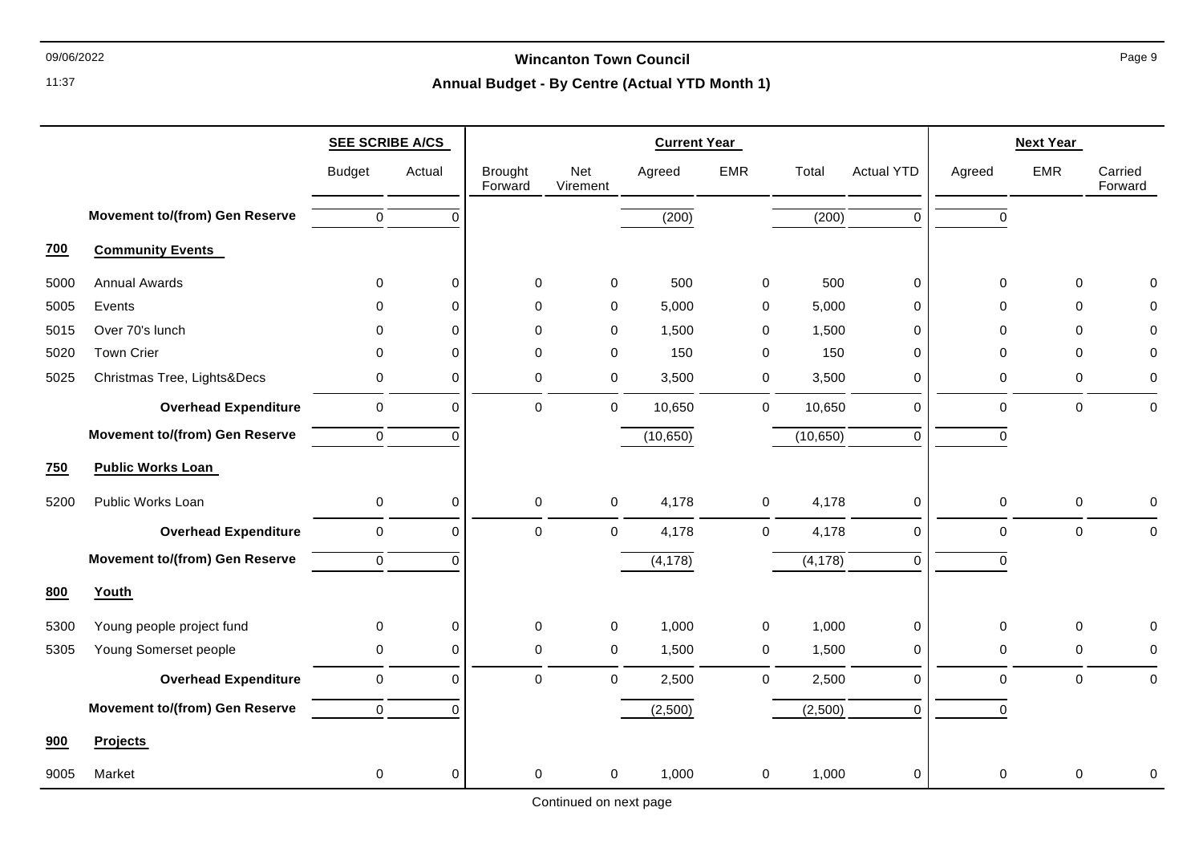## 09/06/2022 **Wincanton Town Council**

# **Annual Budget - By Centre (Actual YTD Month 1)**

|            |                                       | <b>SEE SCRIBE A/CS</b> |             | <b>Current Year</b>       |                 |                    |             |           |                   |           | <b>Next Year</b> |                    |
|------------|---------------------------------------|------------------------|-------------|---------------------------|-----------------|--------------------|-------------|-----------|-------------------|-----------|------------------|--------------------|
|            |                                       | <b>Budget</b>          | Actual      | <b>Brought</b><br>Forward | Net<br>Virement | Agreed             | <b>EMR</b>  | Total     | <b>Actual YTD</b> | Agreed    | <b>EMR</b>       | Carried<br>Forward |
|            | <b>Movement to/(from) Gen Reserve</b> | 0                      | $\Omega$    |                           |                 | $\overline{(200)}$ |             | (200)     | 0                 | 0         |                  |                    |
| <b>700</b> | <b>Community Events</b>               |                        |             |                           |                 |                    |             |           |                   |           |                  |                    |
| 5000       | <b>Annual Awards</b>                  | $\mathbf 0$            | $\mathbf 0$ | $\mathbf 0$               | 0               | 500                | 0           | 500       | 0                 | 0         | $\mathbf 0$      | ∩                  |
| 5005       | Events                                | 0                      | $\Omega$    | $\mathbf 0$               | 0               | 5,000              | 0           | 5,000     | 0                 | 0         | $\Omega$         |                    |
| 5015       | Over 70's lunch                       | 0                      | $\Omega$    | $\pmb{0}$                 | 0               | 1,500              | 0           | 1,500     | 0                 | 0         | 0                | $\Omega$           |
| 5020       | <b>Town Crier</b>                     | $\Omega$               | 0           | $\mathbf 0$               | 0               | 150                | 0           | 150       | 0                 | 0         | $\Omega$         | $\Omega$           |
| 5025       | Christmas Tree, Lights&Decs           | 0                      | 0           | $\mathbf 0$               | 0               | 3,500              | $\mathbf 0$ | 3,500     | 0                 | 0         | $\mathbf 0$      | $\Omega$           |
|            | <b>Overhead Expenditure</b>           | $\pmb{0}$              | $\mathbf 0$ | $\mathbf 0$               | $\mathbf 0$     | 10,650             | $\mathbf 0$ | 10,650    | 0                 | 0         | $\pmb{0}$        | $\Omega$           |
|            | <b>Movement to/(from) Gen Reserve</b> | 0                      | $\Omega$    |                           |                 | (10, 650)          |             | (10, 650) | 0                 | 0         |                  |                    |
| 750        | <b>Public Works Loan</b>              |                        |             |                           |                 |                    |             |           |                   |           |                  |                    |
| 5200       | Public Works Loan                     | 0                      | $\pmb{0}$   | $\mathbf 0$               | $\mathbf 0$     | 4,178              | $\mathbf 0$ | 4,178     | 0                 | 0         | $\mathbf 0$      | 0                  |
|            | <b>Overhead Expenditure</b>           | $\mathsf 0$            | $\mathbf 0$ | $\mathbf 0$               | $\mathbf 0$     | 4,178              | $\mathbf 0$ | 4,178     | 0                 | 0         | $\pmb{0}$        | $\Omega$           |
|            | <b>Movement to/(from) Gen Reserve</b> | $\mathbf 0$            | $\Omega$    |                           |                 | (4, 178)           |             | (4, 178)  | 0                 | $\Omega$  |                  |                    |
| 800        | Youth                                 |                        |             |                           |                 |                    |             |           |                   |           |                  |                    |
| 5300       | Young people project fund             | 0                      | 0           | $\pmb{0}$                 | $\mathbf 0$     | 1,000              | $\mathbf 0$ | 1,000     | 0                 | 0         | $\mathbf 0$      |                    |
| 5305       | Young Somerset people                 | 0                      | $\mathbf 0$ | $\mathbf 0$               | 0               | 1,500              | $\mathbf 0$ | 1,500     | 0                 | 0         | $\mathbf 0$      |                    |
|            | <b>Overhead Expenditure</b>           | $\mathbf 0$            | $\mathbf 0$ | $\mathbf 0$               | $\mathbf 0$     | 2,500              | $\mathbf 0$ | 2,500     | 0                 | 0         | $\mathbf 0$      | $\Omega$           |
|            | <b>Movement to/(from) Gen Reserve</b> | 0                      | $\Omega$    |                           |                 | (2,500)            |             | (2,500)   | 0                 | $\pmb{0}$ |                  |                    |
| 900        | <b>Projects</b>                       |                        |             |                           |                 |                    |             |           |                   |           |                  |                    |
| 9005       | Market                                | 0                      | 0           | $\mathbf 0$               | 0               | 1,000              | 0           | 1,000     | 0                 | 0         | $\Omega$         | 0                  |

Continued on next page